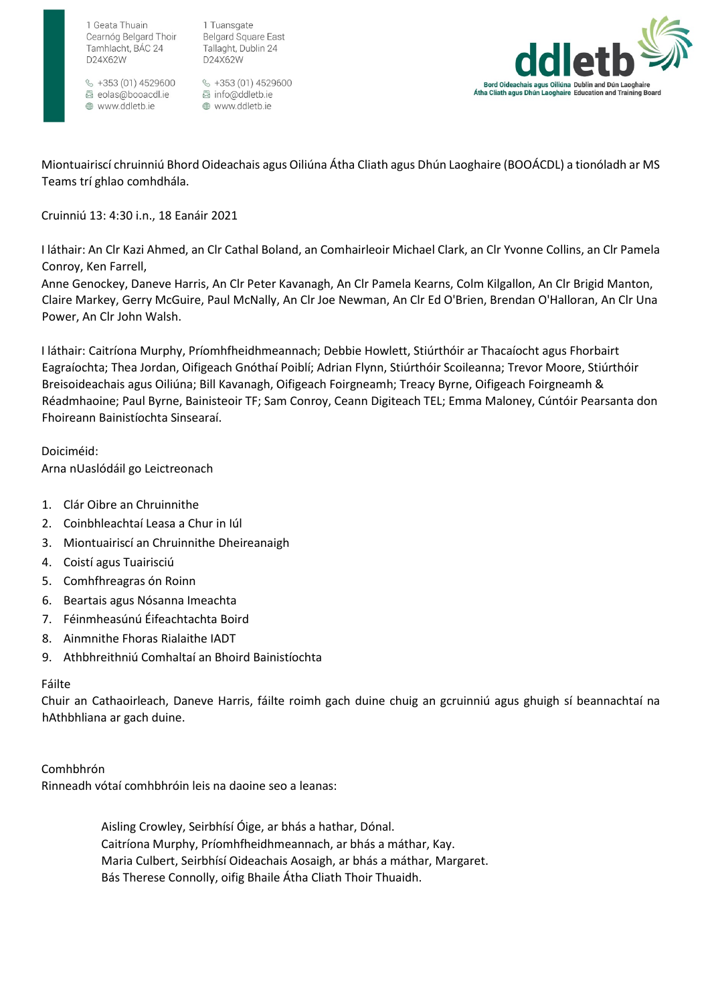

1 Tuansgate Cearnóg Belgard Thoir Tamhlacht, BÁC 24

 $\frac{6}{5}$  +353 (01) 4529600 圆 eolas@booacdl.ie ⊕ www.ddletb.ie

1 Geata Thuain

D24X62W

**Belgard Square East** Tallaght, Dublin 24 D24X62W

§ +353 (01) 4529600 圆 info@ddletb.ie www.ddletb.ie



Miontuairiscí chruinniú Bhord Oideachais agus Oiliúna Átha Cliath agus Dhún Laoghaire (BOOÁCDL) a tionóladh ar MS Teams trí ghlao comhdhála.

## Cruinniú 13: 4:30 i.n., 18 Eanáir 2021

I láthair: An Clr Kazi Ahmed, an Clr Cathal Boland, an Comhairleoir Michael Clark, an Clr Yvonne Collins, an Clr Pamela Conroy, Ken Farrell,

Anne Genockey, Daneve Harris, An Clr Peter Kavanagh, An Clr Pamela Kearns, Colm Kilgallon, An Clr Brigid Manton, Claire Markey, Gerry McGuire, Paul McNally, An Clr Joe Newman, An Clr Ed O'Brien, Brendan O'Halloran, An Clr Una Power, An Clr John Walsh.

I láthair: Caitríona Murphy, Príomhfheidhmeannach; Debbie Howlett, Stiúrthóir ar Thacaíocht agus Fhorbairt Eagraíochta; Thea Jordan, Oifigeach Gnóthaí Poiblí; Adrian Flynn, Stiúrthóir Scoileanna; Trevor Moore, Stiúrthóir Breisoideachais agus Oiliúna; Bill Kavanagh, Oifigeach Foirgneamh; Treacy Byrne, Oifigeach Foirgneamh & Réadmhaoine; Paul Byrne, Bainisteoir TF; Sam Conroy, Ceann Digiteach TEL; Emma Maloney, Cúntóir Pearsanta don Fhoireann Bainistíochta Sinsearaí.

Doiciméid: Arna nUaslódáil go Leictreonach

- 1. Clár Oibre an Chruinnithe
- 2. Coinbhleachtaí Leasa a Chur in Iúl
- 3. Miontuairiscí an Chruinnithe Dheireanaigh
- 4. Coistí agus Tuairisciú
- 5. Comhfhreagras ón Roinn
- 6. Beartais agus Nósanna Imeachta
- 7. Féinmheasúnú Éifeachtachta Boird
- 8. Ainmnithe Fhoras Rialaithe IADT
- 9. Athbhreithniú Comhaltaí an Bhoird Bainistíochta

## Fáilte

Chuir an Cathaoirleach, Daneve Harris, fáilte roimh gach duine chuig an gcruinniú agus ghuigh sí beannachtaí na hAthbhliana ar gach duine.

Comhbhrón

Rinneadh vótaí comhbhróin leis na daoine seo a leanas:

Aisling Crowley, Seirbhísí Óige, ar bhás a hathar, Dónal. Caitríona Murphy, Príomhfheidhmeannach, ar bhás a máthar, Kay. Maria Culbert, Seirbhísí Oideachais Aosaigh, ar bhás a máthar, Margaret. Bás Therese Connolly, oifig Bhaile Átha Cliath Thoir Thuaidh.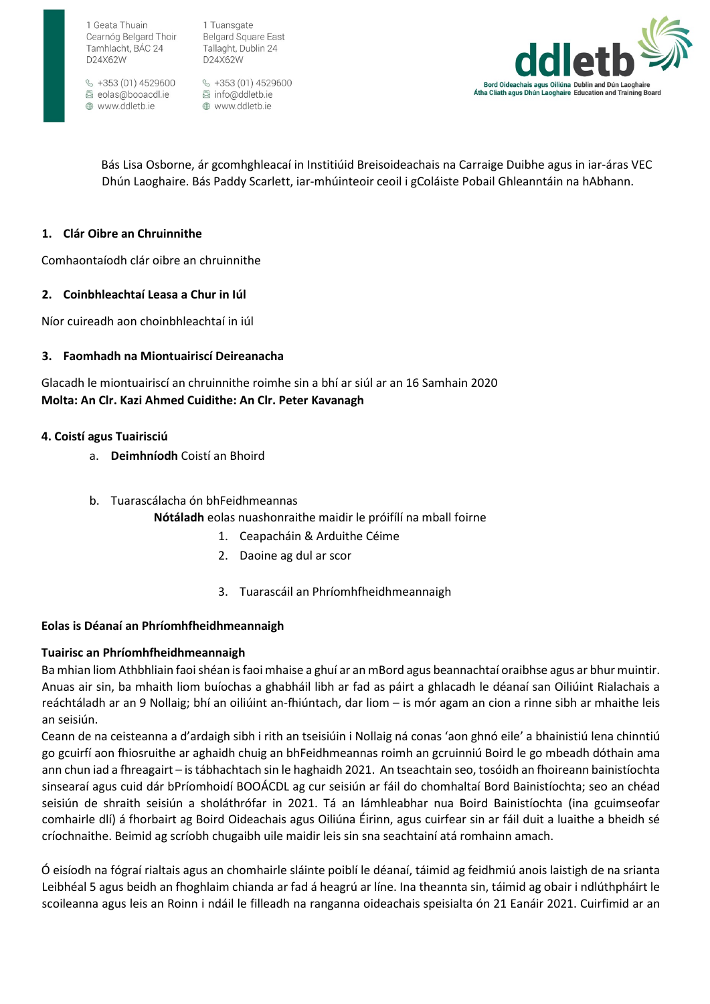1 Tuansgate **Belgard Square East** Tallaght, Dublin 24 D24X62W

 $\frac{6}{5}$  +353 (01) 4529600 圆 eolas@booacdl.ie ⊕ www.ddletb.ie

§ +353 (01) 4529600 圆 info@ddletb.ie www.ddletb.ie



Bás Lisa Osborne, ár gcomhghleacaí in Institiúid Breisoideachais na Carraige Duibhe agus in iar-áras VEC Dhún Laoghaire. Bás Paddy Scarlett, iar-mhúinteoir ceoil i gColáiste Pobail Ghleanntáin na hAbhann.

## **1. Clár Oibre an Chruinnithe**

Comhaontaíodh clár oibre an chruinnithe

#### **2. Coinbhleachtaí Leasa a Chur in Iúl**

Níor cuireadh aon choinbhleachtaí in iúl

#### **3. Faomhadh na Miontuairiscí Deireanacha**

Glacadh le miontuairiscí an chruinnithe roimhe sin a bhí ar siúl ar an 16 Samhain 2020 **Molta: An Clr. Kazi Ahmed Cuidithe: An Clr. Peter Kavanagh** 

#### **4. Coistí agus Tuairisciú**

- a. **Deimhníodh** Coistí an Bhoird
- b. Tuarascálacha ón bhFeidhmeannas
	- **Nótáladh** eolas nuashonraithe maidir le próifílí na mball foirne
		- 1. Ceapacháin & Arduithe Céime
		- 2. Daoine ag dul ar scor
		- 3. Tuarascáil an Phríomhfheidhmeannaigh

#### **Eolas is Déanaí an Phríomhfheidhmeannaigh**

#### **Tuairisc an Phríomhfheidhmeannaigh**

Ba mhian liom Athbhliain faoi shéan is faoi mhaise a ghuí ar an mBord agus beannachtaí oraibhse agus ar bhur muintir. Anuas air sin, ba mhaith liom buíochas a ghabháil libh ar fad as páirt a ghlacadh le déanaí san Oiliúint Rialachais a reáchtáladh ar an 9 Nollaig; bhí an oiliúint an-fhiúntach, dar liom – is mór agam an cion a rinne sibh ar mhaithe leis an seisiún.

Ceann de na ceisteanna a d'ardaigh sibh i rith an tseisiúin i Nollaig ná conas 'aon ghnó eile' a bhainistiú lena chinntiú go gcuirfí aon fhiosruithe ar aghaidh chuig an bhFeidhmeannas roimh an gcruinniú Boird le go mbeadh dóthain ama ann chun iad a fhreagairt – is tábhachtach sin le haghaidh 2021. An tseachtain seo, tosóidh an fhoireann bainistíochta sinsearaí agus cuid dár bPríomhoidí BOOÁCDL ag cur seisiún ar fáil do chomhaltaí Bord Bainistíochta; seo an chéad seisiún de shraith seisiún a sholáthrófar in 2021. Tá an lámhleabhar nua Boird Bainistíochta (ina gcuimseofar comhairle dlí) á fhorbairt ag Boird Oideachais agus Oiliúna Éirinn, agus cuirfear sin ar fáil duit a luaithe a bheidh sé críochnaithe. Beimid ag scríobh chugaibh uile maidir leis sin sna seachtainí atá romhainn amach.

Ó eisíodh na fógraí rialtais agus an chomhairle sláinte poiblí le déanaí, táimid ag feidhmiú anois laistigh de na srianta Leibhéal 5 agus beidh an fhoghlaim chianda ar fad á heagrú ar líne. Ina theannta sin, táimid ag obair i ndlúthpháirt le scoileanna agus leis an Roinn i ndáil le filleadh na ranganna oideachais speisialta ón 21 Eanáir 2021. Cuirfimid ar an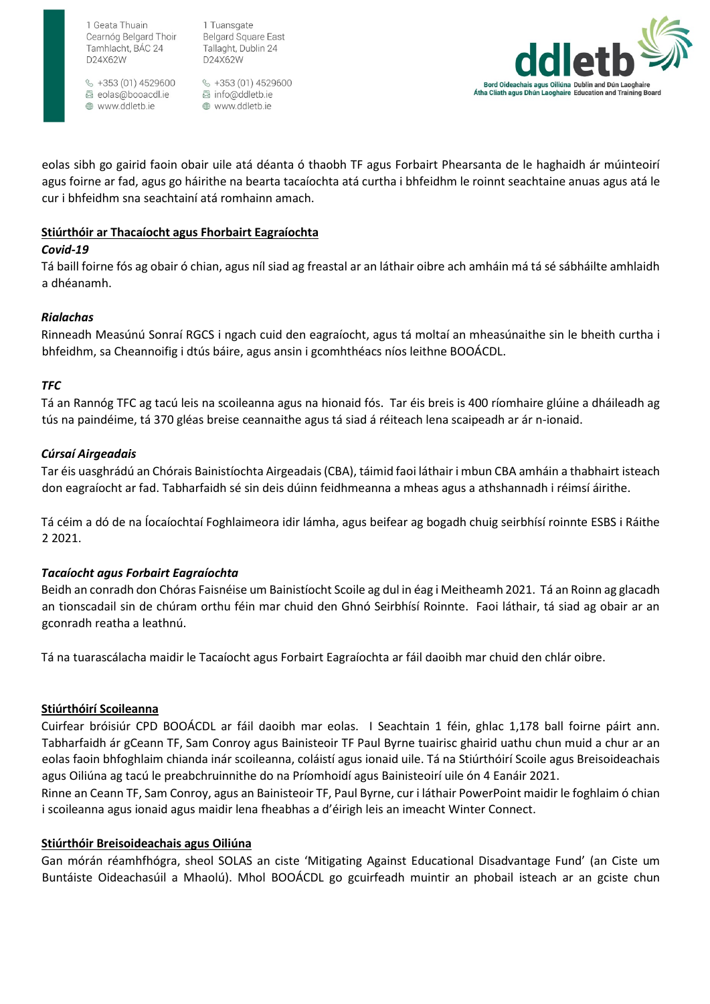1 Tuansgate Cearnóg Belgard Thoir Tamhlacht, BÁC 24

 $\frac{6}{5}$  +353 (01) 4529600 圆 eolas@booacdl.ie ⊕ www.ddletb.ie

1 Geata Thuain

D24X62W

**Belgard Square East** Tallaght, Dublin 24 D24X62W

§ +353 (01) 4529600 圆 info@ddletb.ie www.ddletb.ie



eolas sibh go gairid faoin obair uile atá déanta ó thaobh TF agus Forbairt Phearsanta de le haghaidh ár múinteoirí agus foirne ar fad, agus go háirithe na bearta tacaíochta atá curtha i bhfeidhm le roinnt seachtaine anuas agus atá le cur i bhfeidhm sna seachtainí atá romhainn amach.

## **Stiúrthóir ar Thacaíocht agus Fhorbairt Eagraíochta**

## *Covid-19*

Tá baill foirne fós ag obair ó chian, agus níl siad ag freastal ar an láthair oibre ach amháin má tá sé sábháilte amhlaidh a dhéanamh. 

## *Rialachas*

Rinneadh Measúnú Sonraí RGCS i ngach cuid den eagraíocht, agus tá moltaí an mheasúnaithe sin le bheith curtha i bhfeidhm, sa Cheannoifig i dtús báire, agus ansin i gcomhthéacs níos leithne BOOÁCDL.

## *TFC*

Tá an Rannóg TFC ag tacú leis na scoileanna agus na hionaid fós.  Tar éis breis is 400 ríomhaire glúine a dháileadh ag tús na paindéime, tá 370 gléas breise ceannaithe agus tá siad á réiteach lena scaipeadh ar ár n-ionaid. 

## *Cúrsaí Airgeadais*

Tar éis uasghrádú an Chórais Bainistíochta Airgeadais (CBA), táimid faoi láthair i mbun CBA amháin a thabhairt isteach don eagraíocht ar fad. Tabharfaidh sé sin deis dúinn feidhmeanna a mheas agus a athshannadh i réimsí áirithe.  

Tá céim a dó de na Íocaíochtaí Foghlaimeora idir lámha, agus beifear ag bogadh chuig seirbhísí roinnte ESBS i Ráithe 2 2021. 

## *Tacaíocht agus Forbairt Eagraíochta*

Beidh an conradh don Chóras Faisnéise um Bainistíocht Scoile ag dul in éag i Meitheamh 2021. Tá an Roinn ag glacadh an tionscadail sin de chúram orthu féin mar chuid den Ghnó Seirbhísí Roinnte. Faoi láthair, tá siad ag obair ar an gconradh reatha a leathnú.

Tá na tuarascálacha maidir le Tacaíocht agus Forbairt Eagraíochta ar fáil daoibh mar chuid den chlár oibre.

## **Stiúrthóirí Scoileanna**

Cuirfear bróisiúr CPD BOOÁCDL ar fáil daoibh mar eolas. I Seachtain 1 féin, ghlac 1,178 ball foirne páirt ann. Tabharfaidh ár gCeann TF, Sam Conroy agus Bainisteoir TF Paul Byrne tuairisc ghairid uathu chun muid a chur ar an eolas faoin bhfoghlaim chianda inár scoileanna, coláistí agus ionaid uile. Tá na Stiúrthóirí Scoile agus Breisoideachais agus Oiliúna ag tacú le preabchruinnithe do na Príomhoidí agus Bainisteoirí uile ón 4 Eanáir 2021.

Rinne an Ceann TF, Sam Conroy, agus an Bainisteoir TF, Paul Byrne, cur i láthair PowerPoint maidir le foghlaim ó chian i scoileanna agus ionaid agus maidir lena fheabhas a d'éirigh leis an imeacht Winter Connect.

## **Stiúrthóir Breisoideachais agus Oiliúna**

Gan mórán réamhfhógra, sheol SOLAS an ciste 'Mitigating Against Educational Disadvantage Fund' (an Ciste um Buntáiste Oideachasúil a Mhaolú). Mhol BOOÁCDL go gcuirfeadh muintir an phobail isteach ar an gciste chun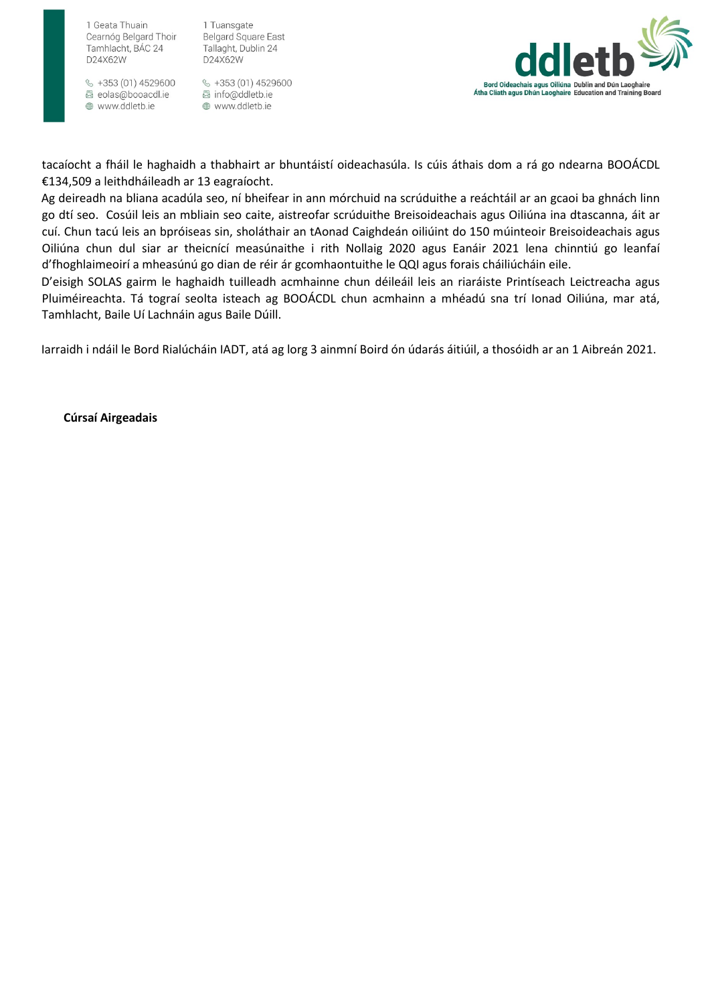1 Tuansgate **Belgard Square East** Tallaght, Dublin 24 D24X62W

 $\frac{6}{5}$  +353 (01) 4529600 圆 eolas@booacdl.ie www.ddletb.ie

§ +353 (01) 4529600 圆 info@ddletb.ie www.ddletb.ie



tacaíocht a fháil le haghaidh a thabhairt ar bhuntáistí oideachasúla. Is cúis áthais dom a rá go ndearna BOOÁCDL €134,509 a leithdháileadh ar 13 eagraíocht.

Ag deireadh na bliana acadúla seo, ní bheifear in ann mórchuid na scrúduithe a reáchtáil ar an gcaoi ba ghnách linn go dtí seo. Cosúil leis an mbliain seo caite, aistreofar scrúduithe Breisoideachais agus Oiliúna ina dtascanna, áit ar cuí. Chun tacú leis an bpróiseas sin, sholáthair an tAonad Caighdeán oiliúint do 150 múinteoir Breisoideachais agus Oiliúna chun dul siar ar theicnící measúnaithe i rith Nollaig 2020 agus Eanáir 2021 lena chinntiú go leanfaí d'fhoghlaimeoirí a mheasúnú go dian de réir ár gcomhaontuithe le QQI agus forais cháiliúcháin eile.

D'eisigh SOLAS gairm le haghaidh tuilleadh acmhainne chun déileáil leis an riaráiste Printíseach Leictreacha agus Pluiméireachta. Tá tograí seolta isteach ag BOOÁCDL chun acmhainn a mhéadú sna trí Ionad Oiliúna, mar atá, Tamhlacht, Baile Uí Lachnáin agus Baile Dúill.

Iarraidh i ndáil le Bord Rialúcháin IADT, atá ag lorg 3 ainmní Boird ón údarás áitiúil, a thosóidh ar an 1 Aibreán 2021.

**Cúrsaí Airgeadais**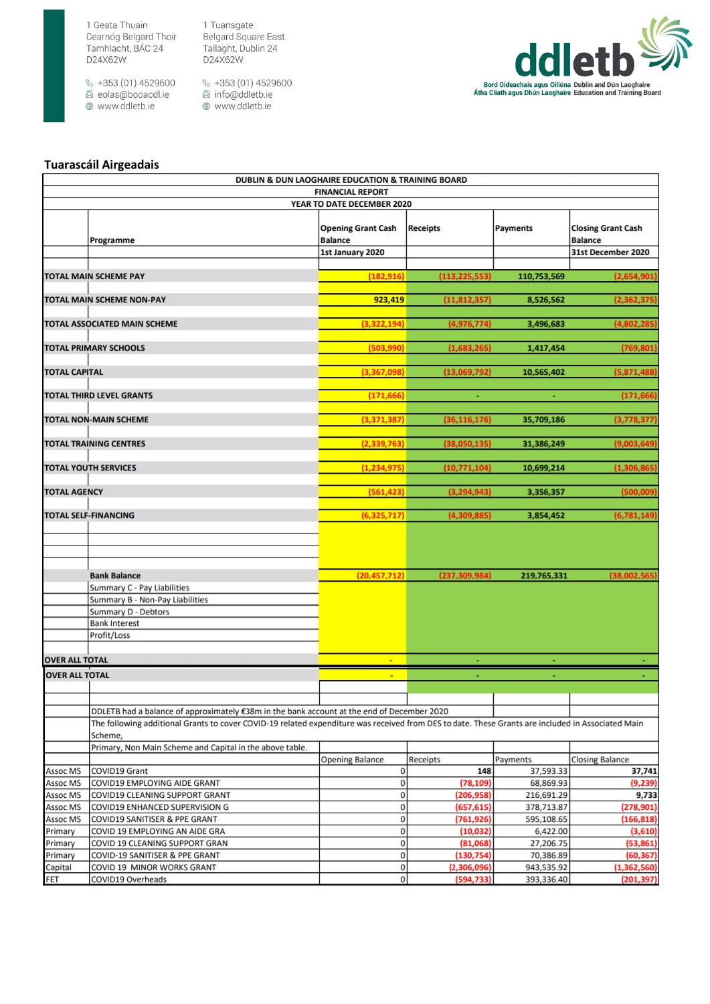$\frac{1}{2}$  +353 (01) 4529600 ම roco (e1) 1025000<br>මේ eolas@booacdl.ie<br>⊕ www.ddletb.ie

1 Tuansgate Pridarisgate<br>Belgard Square East<br>Tallaght, Dublin 24<br>D24X62W

§ +353 (01) 4529600<br>图 info@ddletb.ie www.ddletb.ie



#### **Tuarascáil Airgeadais**

|                                    | DUBLIN & DUN LAOGHAIRE EDUCATION & TRAINING BOARD                                                                                                            |                                             |                          |                          |                                             |  |
|------------------------------------|--------------------------------------------------------------------------------------------------------------------------------------------------------------|---------------------------------------------|--------------------------|--------------------------|---------------------------------------------|--|
|                                    | <b>FINANCIAL REPORT</b>                                                                                                                                      |                                             |                          |                          |                                             |  |
|                                    |                                                                                                                                                              | YEAR TO DATE DECEMBER 2020                  |                          |                          |                                             |  |
|                                    | Programme                                                                                                                                                    | <b>Opening Grant Cash</b><br><b>Balance</b> | <b>Receipts</b>          | <b>Payments</b>          | <b>Closing Grant Cash</b><br><b>Balance</b> |  |
|                                    |                                                                                                                                                              | 1st January 2020                            |                          |                          | 31st December 2020                          |  |
|                                    |                                                                                                                                                              |                                             |                          |                          |                                             |  |
|                                    | <b>TOTAL MAIN SCHEME PAY</b>                                                                                                                                 | (182, 916)                                  | (113, 225, 553)          | 110,753,569              | (2,654,901)                                 |  |
|                                    | <b>TOTAL MAIN SCHEME NON-PAY</b>                                                                                                                             | 923,419                                     | (11, 812, 357)           | 8,526,562                | (2,362,375)                                 |  |
|                                    |                                                                                                                                                              |                                             |                          |                          |                                             |  |
|                                    | <b>TOTAL ASSOCIATED MAIN SCHEME</b>                                                                                                                          | (3, 322, 194)                               | (4,976,774)              | 3,496,683                | (4,802,285)                                 |  |
|                                    |                                                                                                                                                              |                                             |                          |                          |                                             |  |
|                                    | <b>TOTAL PRIMARY SCHOOLS</b>                                                                                                                                 | (503,990)                                   | (1,683,265)              | 1,417,454                | (769, 801)                                  |  |
| <b>TOTAL CAPITAL</b>               |                                                                                                                                                              |                                             |                          |                          |                                             |  |
|                                    |                                                                                                                                                              | (3,367,098)                                 | (13,069,792)             | 10,565,402               | (5,871,488)                                 |  |
|                                    | <b>TOTAL THIRD LEVEL GRANTS</b>                                                                                                                              | (171, 666)                                  |                          |                          | (171, 666)                                  |  |
|                                    |                                                                                                                                                              |                                             |                          |                          |                                             |  |
|                                    | <b>TOTAL NON-MAIN SCHEME</b>                                                                                                                                 | (3, 371, 387)                               | (36, 116, 176)           | 35,709,186               | (3,778,377)                                 |  |
|                                    | <b>TOTAL TRAINING CENTRES</b>                                                                                                                                | (2, 339, 763)                               |                          |                          |                                             |  |
|                                    |                                                                                                                                                              |                                             | (38,050,135)             | 31,386,249               | (9,003,649)                                 |  |
|                                    | <b>TOTAL YOUTH SERVICES</b>                                                                                                                                  | (1, 234, 975)                               | (10, 771, 104)           | 10,699,214               | (1,306,865)                                 |  |
|                                    |                                                                                                                                                              |                                             |                          |                          |                                             |  |
| <b>TOTAL AGENCY</b>                |                                                                                                                                                              | (561, 423)                                  | (3, 294, 943)            | 3,356,357                | (500, 009)                                  |  |
|                                    | <b>TOTAL SELF-FINANCING</b>                                                                                                                                  | (6, 325, 717)                               | (4,309,885)              | 3,854,452                | (6,781,149)                                 |  |
|                                    |                                                                                                                                                              |                                             |                          |                          |                                             |  |
|                                    | <b>Bank Balance</b>                                                                                                                                          | (20, 457, 712)                              | (237, 309, 984)          | 219,765,331              | (38,002,565)                                |  |
|                                    | Summary C - Pay Liabilities                                                                                                                                  |                                             |                          |                          |                                             |  |
|                                    | Summary B - Non-Pay Liabilities                                                                                                                              |                                             |                          |                          |                                             |  |
|                                    | <b>Summary D - Debtors</b>                                                                                                                                   |                                             |                          |                          |                                             |  |
|                                    | <b>Bank Interest</b>                                                                                                                                         |                                             |                          |                          |                                             |  |
|                                    | Profit/Loss                                                                                                                                                  |                                             |                          |                          |                                             |  |
|                                    |                                                                                                                                                              |                                             |                          |                          |                                             |  |
| <b>OVER ALL TOTAL</b>              |                                                                                                                                                              | ×.                                          |                          |                          |                                             |  |
| <b>OVER ALL TOTAL</b>              |                                                                                                                                                              | $\blacksquare$                              |                          |                          |                                             |  |
|                                    |                                                                                                                                                              |                                             |                          |                          |                                             |  |
|                                    |                                                                                                                                                              |                                             |                          |                          |                                             |  |
|                                    | DDLETB had a balance of approximately €38m in the bank account at the end of December 2020                                                                   |                                             |                          |                          |                                             |  |
|                                    | The following additional Grants to cover COVID-19 related expenditure was received from DES to date. These Grants are included in Associated Main<br>Scheme, |                                             |                          |                          |                                             |  |
|                                    | Primary, Non Main Scheme and Capital in the above table.                                                                                                     |                                             |                          |                          |                                             |  |
|                                    |                                                                                                                                                              | <b>Opening Balance</b>                      | Receipts                 | Payments                 | <b>Closing Balance</b>                      |  |
| <b>Assoc MS</b>                    | <b>COVID19 Grant</b>                                                                                                                                         | $\bf{0}$                                    | 148                      | 37,593.33                | 37,741                                      |  |
| <b>Assoc MS</b>                    | COVID19 EMPLOYING AIDE GRANT                                                                                                                                 | $\bf{0}$                                    | (78, 109)                | 68,869.93                | (9,239)                                     |  |
| <b>Assoc MS</b><br><b>Assoc MS</b> | <b>COVID19 CLEANING SUPPORT GRANT</b><br>COVID19 ENHANCED SUPERVISION G                                                                                      | 0<br>$\mathbf{0}$                           | (206, 958)<br>(657, 615) | 216,691.29<br>378,713.87 | 9,733<br>(278, 901)                         |  |
| <b>Assoc MS</b>                    | COVID19 SANITISER & PPE GRANT                                                                                                                                | $\bf{0}$                                    | (761,926)                | 595,108.65               | (166, 818)                                  |  |
| Primary                            | COVID 19 EMPLOYING AN AIDE GRA                                                                                                                               | 0                                           | (10, 032)                | 6,422.00                 | (3,610)                                     |  |
| Primary                            | COVID 19 CLEANING SUPPORT GRAN                                                                                                                               | $\overline{0}$                              | (81,068)                 | 27,206.75                | (53, 861)                                   |  |
| Primary                            | COVID-19 SANITISER & PPE GRANT                                                                                                                               | $\overline{0}$                              | (130, 754)               | 70,386.89                | (60, 367)                                   |  |
| Capital                            | COVID 19 MINOR WORKS GRANT                                                                                                                                   | $\bf{0}$                                    | (2,306,096)              | 943,535.92               | (1,362,560)                                 |  |
| <b>FFT</b>                         | COVID19 Overheads                                                                                                                                            | $\Omega$                                    | (594.733)                | 393.336.40               | (201.397)                                   |  |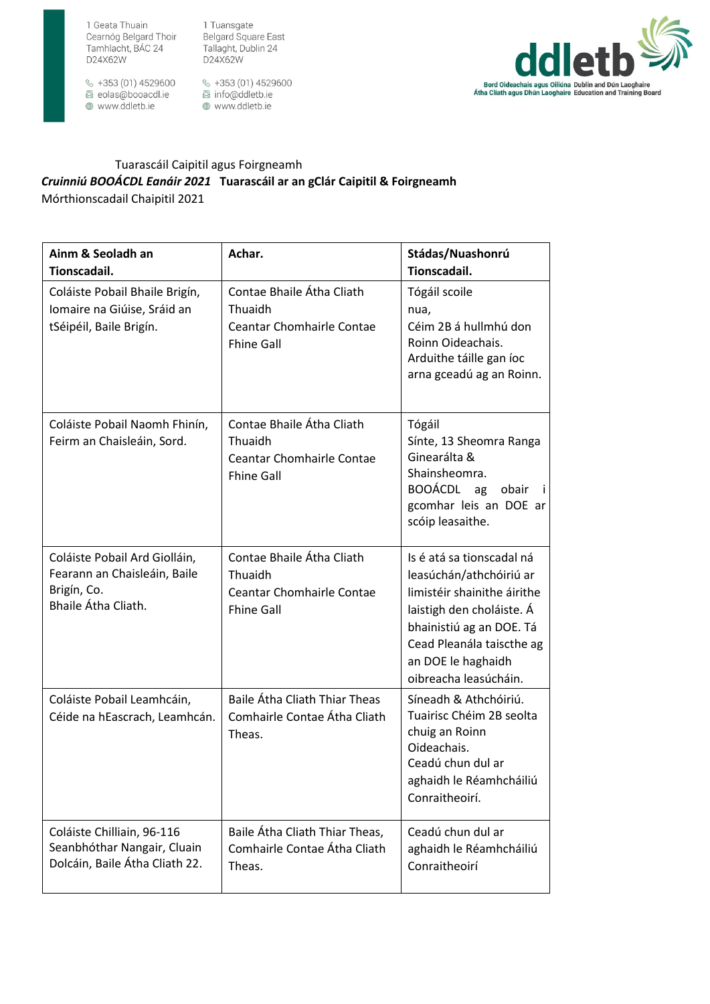1 Geata Thuain D24X62W

Cearnóg Belgard Thoir Tamhlacht, BÁC 24

§ +353 (01) 4529600 圆 eolas@booacdl.ie www.ddletb.ie

1 Tuansgate Belgard Square East Tallaght, Dublin 24 D24X62W

 $\frac{6}{5}$  +353 (01) 4529600 圆 info@ddletb.ie www.ddletb.ie



## Tuarascáil Caipitil agus Foirgneamh Cruinniú BOOÁCDL Eanáir 2021 Tuarascáil ar an gClár Caipitil & Foirgneamh Mórthionscadail Chaipitil 2021

| Ainm & Seoladh an<br>Tionscadail.                                                                   | Achar.                                                                                        | Stádas/Nuashonrú<br>Tionscadail.                                                                                                                                                                                         |
|-----------------------------------------------------------------------------------------------------|-----------------------------------------------------------------------------------------------|--------------------------------------------------------------------------------------------------------------------------------------------------------------------------------------------------------------------------|
| Coláiste Pobail Bhaile Brigín,<br>Iomaire na Giúise, Sráid an<br>tSéipéil, Baile Brigín.            | Contae Bhaile Átha Cliath<br>Thuaidh<br><b>Ceantar Chomhairle Contae</b><br><b>Fhine Gall</b> | Tógáil scoile<br>nua,<br>Céim 2B á hullmhú don<br>Roinn Oideachais.<br>Arduithe táille gan íoc<br>arna gceadú ag an Roinn.                                                                                               |
| Coláiste Pobail Naomh Fhinín,<br>Feirm an Chaisleáin, Sord.                                         | Contae Bhaile Átha Cliath<br>Thuaidh<br><b>Ceantar Chomhairle Contae</b><br><b>Fhine Gall</b> | Tógáil<br>Sínte, 13 Sheomra Ranga<br>Ginearálta &<br>Shainsheomra.<br>BOOÁCDL ag<br>obair<br>- i<br>gcomhar leis an DOE ar<br>scóip leasaithe.                                                                           |
| Coláiste Pobail Ard Giolláin,<br>Fearann an Chaisleáin, Baile<br>Brigín, Co.<br>Bhaile Átha Cliath. | Contae Bhaile Átha Cliath<br>Thuaidh<br><b>Ceantar Chomhairle Contae</b><br><b>Fhine Gall</b> | Is é atá sa tionscadal ná<br>leasúchán/athchóiriú ar<br>limistéir shainithe áirithe<br>laistigh den choláiste. Á<br>bhainistiú ag an DOE. Tá<br>Cead Pleanála taiscthe ag<br>an DOE le haghaidh<br>oibreacha leasúcháin. |
| Coláiste Pobail Leamhcáin,<br>Céide na hEascrach, Leamhcán.                                         | Baile Átha Cliath Thiar Theas<br>Comhairle Contae Átha Cliath<br>Theas.                       | Síneadh & Athchóiriú.<br>Tuairisc Chéim 2B seolta<br>chuig an Roinn<br>Oideachais.<br>Ceadú chun dul ar<br>aghaidh le Réamhcháiliú<br>Conraitheoirí.                                                                     |
| Coláiste Chilliain, 96-116<br>Seanbhóthar Nangair, Cluain<br>Dolcáin, Baile Átha Cliath 22.         | Baile Átha Cliath Thiar Theas,<br>Comhairle Contae Átha Cliath<br>Theas.                      | Ceadú chun dul ar<br>aghaidh le Réamhcháiliú<br>Conraitheoirí                                                                                                                                                            |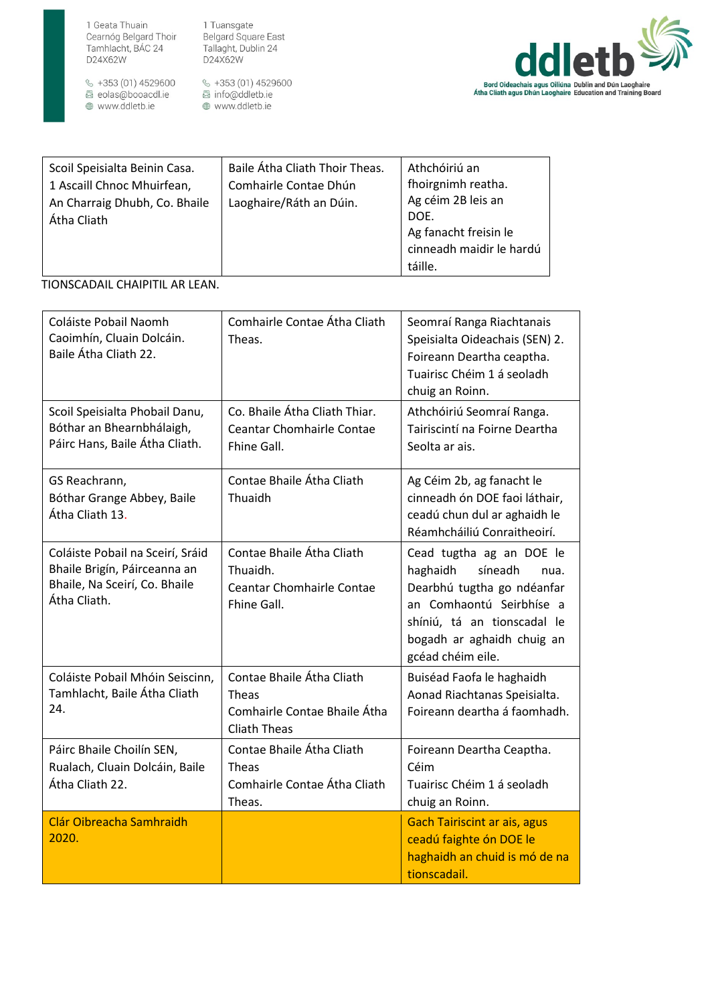

 $\frac{6}{5}$  +353 (01) 4529600 a code (et) 1025000<br>a eolas@booacdl.ie<br>⊕ www.ddletb.ie

1 Tuansgate Pridarisgate<br>Belgard Square East<br>Tallaght, Dublin 24<br>D24X62W

≪ +353 (01) 4529600<br>曷 info@ddletb.ie<br>⊕ www.ddletb.ie



| Scoil Speisialta Beinin Casa.<br>1 Ascaill Chnoc Mhuirfean,<br>An Charraig Dhubh, Co. Bhaile<br>Átha Cliath | Baile Átha Cliath Thoir Theas.<br>Comhairle Contae Dhún<br>Laoghaire/Ráth an Dúin. | Athchóiriú an<br>fhoirgnimh reatha.<br>Ag céim 2B leis an<br>DOE.<br>Ag fanacht freisin le |
|-------------------------------------------------------------------------------------------------------------|------------------------------------------------------------------------------------|--------------------------------------------------------------------------------------------|
|                                                                                                             |                                                                                    | cinneadh maidir le hardú                                                                   |
|                                                                                                             |                                                                                    | táille.                                                                                    |

# TIONSCADAIL CHAIPITIL AR LEAN.

| Coláiste Pobail Naomh<br>Caoimhín, Cluain Dolcáin.<br>Baile Átha Cliath 22.                                       | Comhairle Contae Átha Cliath<br>Theas.                                                           | Seomraí Ranga Riachtanais<br>Speisialta Oideachais (SEN) 2.<br>Foireann Deartha ceaptha.<br>Tuairisc Chéim 1 á seoladh<br>chuig an Roinn.                                                           |
|-------------------------------------------------------------------------------------------------------------------|--------------------------------------------------------------------------------------------------|-----------------------------------------------------------------------------------------------------------------------------------------------------------------------------------------------------|
| Scoil Speisialta Phobail Danu,<br>Bóthar an Bhearnbhálaigh,<br>Páirc Hans, Baile Átha Cliath.                     | Co. Bhaile Átha Cliath Thiar.<br><b>Ceantar Chomhairle Contae</b><br>Fhine Gall.                 | Athchóiriú Seomraí Ranga.<br>Tairiscintí na Foirne Deartha<br>Seolta ar ais.                                                                                                                        |
| GS Reachrann,<br>Bóthar Grange Abbey, Baile<br>Átha Cliath 13.                                                    | Contae Bhaile Átha Cliath<br>Thuaidh                                                             | Ag Céim 2b, ag fanacht le<br>cinneadh ón DOE faoi láthair,<br>ceadú chun dul ar aghaidh le<br>Réamhcháiliú Conraitheoirí.                                                                           |
| Coláiste Pobail na Sceirí, Sráid<br>Bhaile Brigín, Páirceanna an<br>Bhaile, Na Sceirí, Co. Bhaile<br>Átha Cliath. | Contae Bhaile Átha Cliath<br>Thuaidh.<br><b>Ceantar Chomhairle Contae</b><br>Fhine Gall.         | Cead tugtha ag an DOE le<br>haghaidh<br>síneadh<br>nua.<br>Dearbhú tugtha go ndéanfar<br>an Comhaontú Seirbhíse a<br>shíniú, tá an tionscadal le<br>bogadh ar aghaidh chuig an<br>gcéad chéim eile. |
| Coláiste Pobail Mhóin Seiscinn,<br>Tamhlacht, Baile Átha Cliath<br>24.                                            | Contae Bhaile Átha Cliath<br><b>Theas</b><br>Comhairle Contae Bhaile Átha<br><b>Cliath Theas</b> | Buiséad Faofa le haghaidh<br>Aonad Riachtanas Speisialta.<br>Foireann deartha á faomhadh.                                                                                                           |
| Páirc Bhaile Choilín SEN,<br>Rualach, Cluain Dolcáin, Baile<br>Átha Cliath 22.                                    | Contae Bhaile Átha Cliath<br>Theas<br>Comhairle Contae Átha Cliath<br>Theas.                     | Foireann Deartha Ceaptha.<br>Céim<br>Tuairisc Chéim 1 á seoladh<br>chuig an Roinn.                                                                                                                  |
| Clár Oibreacha Samhraidh<br>2020.                                                                                 |                                                                                                  | <b>Gach Tairiscint ar ais, agus</b><br>ceadú faighte ón DOE le<br>haghaidh an chuid is mó de na<br>tionscadail.                                                                                     |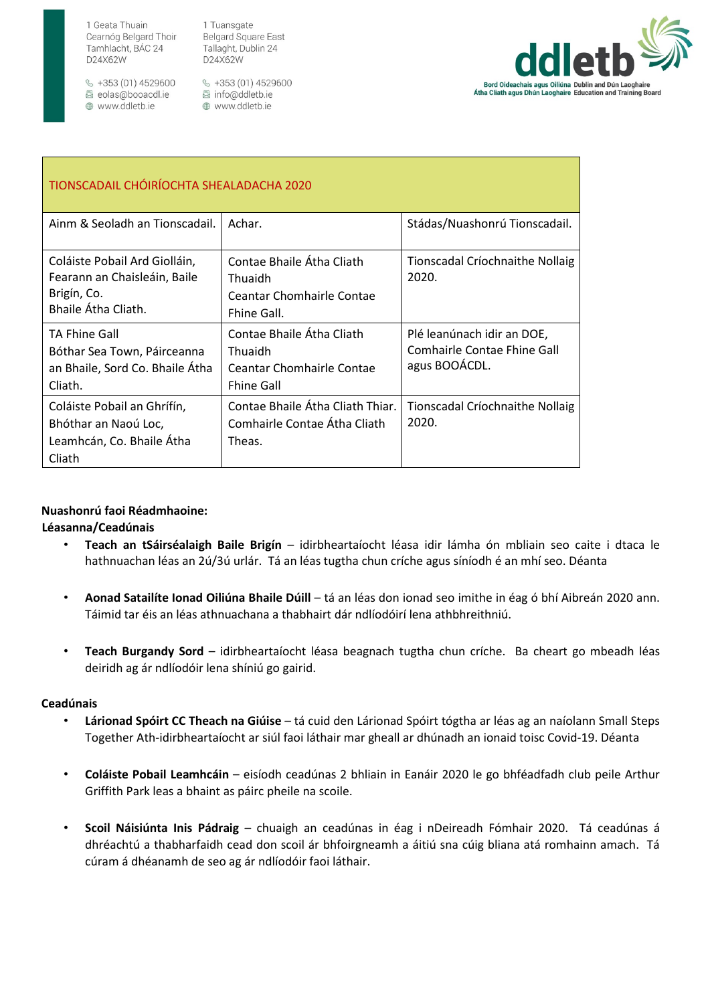$\frac{6}{5}$  +353 (01) 4529600 圆 eolas@booacdl.ie ⊕ www.ddletb.ie

1 Tuansgate **Belgard Square East** Tallaght, Dublin 24 D24X62W

§ +353 (01) 4529600 圆 info@ddletb.ie ⊕ www.ddletb.ie



| TIONSCADAIL CHÓIRÍOCHTA SHEALADACHA 2020                                                            |                                                                                                      |                                                                            |  |  |
|-----------------------------------------------------------------------------------------------------|------------------------------------------------------------------------------------------------------|----------------------------------------------------------------------------|--|--|
| Ainm & Seoladh an Tionscadail.                                                                      | Achar.                                                                                               | Stádas/Nuashonrú Tionscadail.                                              |  |  |
| Coláiste Pobail Ard Giolláin,<br>Fearann an Chaisleáin, Baile<br>Brigín, Co.<br>Bhaile Átha Cliath. | Contae Bhaile Átha Cliath<br>Thuaidh<br><b>Ceantar Chomhairle Contae</b><br>Fhine Gall.              | Tionscadal Críochnaithe Nollaig<br>2020.                                   |  |  |
| <b>TA Fhine Gall</b><br>Bóthar Sea Town, Páirceanna<br>an Bhaile, Sord Co. Bhaile Átha<br>Cliath.   | Contae Bhaile Átha Cliath<br><b>Thuaidh</b><br><b>Ceantar Chomhairle Contae</b><br><b>Fhine Gall</b> | Plé leanúnach idir an DOE,<br>Comhairle Contae Fhine Gall<br>agus BOOÁCDL. |  |  |
| Coláiste Pobail an Ghrífín,<br>Bhóthar an Naoú Loc,<br>Leamhcán, Co. Bhaile Átha<br>Cliath          | Contae Bhaile Átha Cliath Thiar.<br>Comhairle Contae Átha Cliath<br>Theas.                           | Tionscadal Críochnaithe Nollaig<br>2020.                                   |  |  |

## **Nuashonrú faoi Réadmhaoine:**

**Léasanna/Ceadúnais** 

- **Teach an tSáirséalaigh Baile Brigín** idirbheartaíocht léasa idir lámha ón mbliain seo caite i dtaca le hathnuachan léas an 2ú/3ú urlár. Tá an léas tugtha chun críche agus síníodh é an mhí seo. Déanta
- **Aonad Satailíte Ionad Oiliúna Bhaile Dúill** tá an léas don ionad seo imithe in éag ó bhí Aibreán 2020 ann. Táimid tar éis an léas athnuachana a thabhairt dár ndlíodóirí lena athbhreithniú.
- **Teach Burgandy Sord**  idirbheartaíocht léasa beagnach tugtha chun críche. Ba cheart go mbeadh léas deiridh ag ár ndlíodóir lena shíniú go gairid.

#### **Ceadúnais**

- **Lárionad Spóirt CC Theach na Giúise** tá cuid den Lárionad Spóirt tógtha ar léas ag an naíolann Small Steps Together Ath-idirbheartaíocht ar siúl faoi láthair mar gheall ar dhúnadh an ionaid toisc Covid-19. Déanta
- **Coláiste Pobail Leamhcáin** eisíodh ceadúnas 2 bhliain in Eanáir 2020 le go bhféadfadh club peile Arthur Griffith Park leas a bhaint as páirc pheile na scoile.
- **Scoil Náisiúnta Inis Pádraig** chuaigh an ceadúnas in éag i nDeireadh Fómhair 2020. Tá ceadúnas á dhréachtú a thabharfaidh cead don scoil ár bhfoirgneamh a áitiú sna cúig bliana atá romhainn amach. Tá cúram á dhéanamh de seo ag ár ndlíodóir faoi láthair.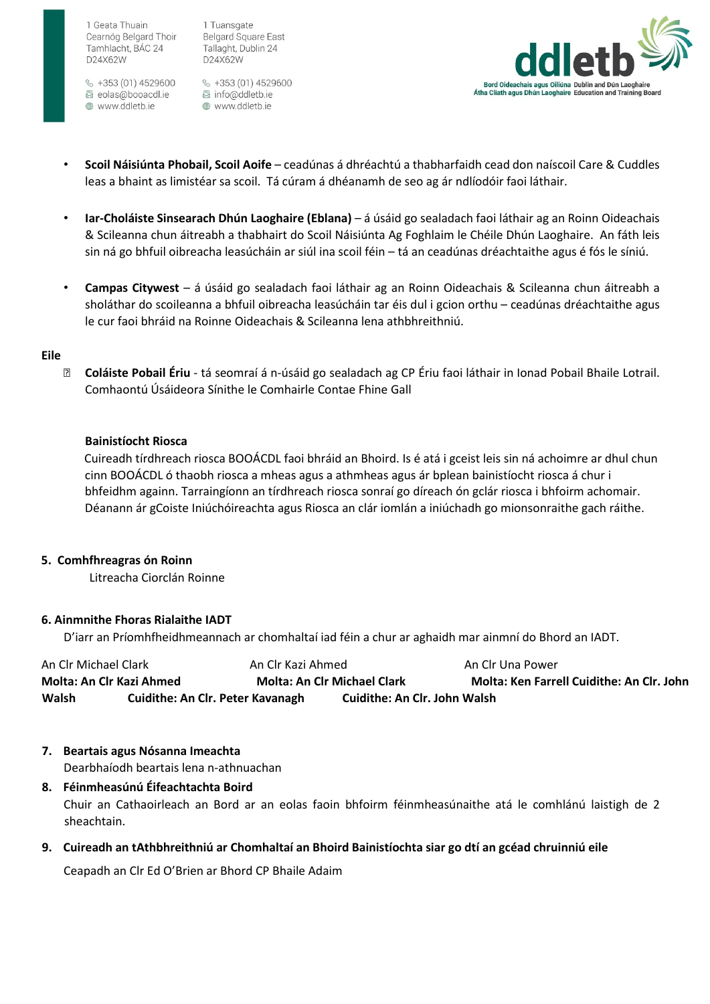$\frac{6}{5}$  +353 (01) 4529600 圆 eolas@booacdl.ie ⊕ www.ddletb.ie

1 Tuansgate **Belgard Square East** Tallaght, Dublin 24 D24X62W

§ +353 (01) 4529600 圆 info@ddletb.ie www.ddletb.ie



- **Scoil Náisiúnta Phobail, Scoil Aoife** ceadúnas á dhréachtú a thabharfaidh cead don naíscoil Care & Cuddles leas a bhaint as limistéar sa scoil. Tá cúram á dhéanamh de seo ag ár ndlíodóir faoi láthair.
- **Iar-Choláiste Sinsearach Dhún Laoghaire (Eblana)**  á úsáid go sealadach faoi láthair ag an Roinn Oideachais & Scileanna chun áitreabh a thabhairt do Scoil Náisiúnta Ag Foghlaim le Chéile Dhún Laoghaire. An fáth leis sin ná go bhfuil oibreacha leasúcháin ar siúl ina scoil féin – tá an ceadúnas dréachtaithe agus é fós le síniú.
- **Campas Citywest**  á úsáid go sealadach faoi láthair ag an Roinn Oideachais & Scileanna chun áitreabh a sholáthar do scoileanna a bhfuil oibreacha leasúcháin tar éis dul i gcion orthu – ceadúnas dréachtaithe agus le cur faoi bhráid na Roinne Oideachais & Scileanna lena athbhreithniú.

#### **Eile**

 **Coláiste Pobail Ériu** - tá seomraí á n-úsáid go sealadach ag CP Ériu faoi láthair in Ionad Pobail Bhaile Lotrail. Comhaontú Úsáideora Sínithe le Comhairle Contae Fhine Gall

#### **Bainistíocht Riosca**

Cuireadh tírdhreach riosca BOOÁCDL faoi bhráid an Bhoird. Is é atá i gceist leis sin ná achoimre ar dhul chun cinn BOOÁCDL ó thaobh riosca a mheas agus a athmheas agus ár bplean bainistíocht riosca á chur i bhfeidhm againn. Tarraingíonn an tírdhreach riosca sonraí go díreach ón gclár riosca i bhfoirm achomair. Déanann ár gCoiste Iniúchóireachta agus Riosca an clár iomlán a iniúchadh go mionsonraithe gach ráithe.

#### **5. Comhfhreagras ón Roinn**

Litreacha Ciorclán Roinne

#### **6. Ainmnithe Fhoras Rialaithe IADT**

D'iarr an Príomhfheidhmeannach ar chomhaltaí iad féin a chur ar aghaidh mar ainmní do Bhord an IADT.

| An Clr Michael Clark     |                                         | An Clr Kazi Ahmed                  |                              | An Clr Una Power                                 |
|--------------------------|-----------------------------------------|------------------------------------|------------------------------|--------------------------------------------------|
| Molta: An Clr Kazi Ahmed |                                         | <b>Molta: An Clr Michael Clark</b> |                              | <b>Molta: Ken Farrell Cuidithe: An Clr. John</b> |
| Walsh                    | <b>Cuidithe: An Clr. Peter Kavanagh</b> |                                    | Cuidithe: An Clr. John Walsh |                                                  |

## **7. Beartais agus Nósanna Imeachta**

sheachtain.

Dearbhaíodh beartais lena n-athnuachan

**8. Féinmheasúnú Éifeachtachta Boird**  Chuir an Cathaoirleach an Bord ar an eolas faoin bhfoirm féinmheasúnaithe atá le comhlánú laistigh de 2

**9. Cuireadh an tAthbhreithniú ar Chomhaltaí an Bhoird Bainistíochta siar go dtí an gcéad chruinniú eile** 

Ceapadh an Clr Ed O'Brien ar Bhord CP Bhaile Adaim